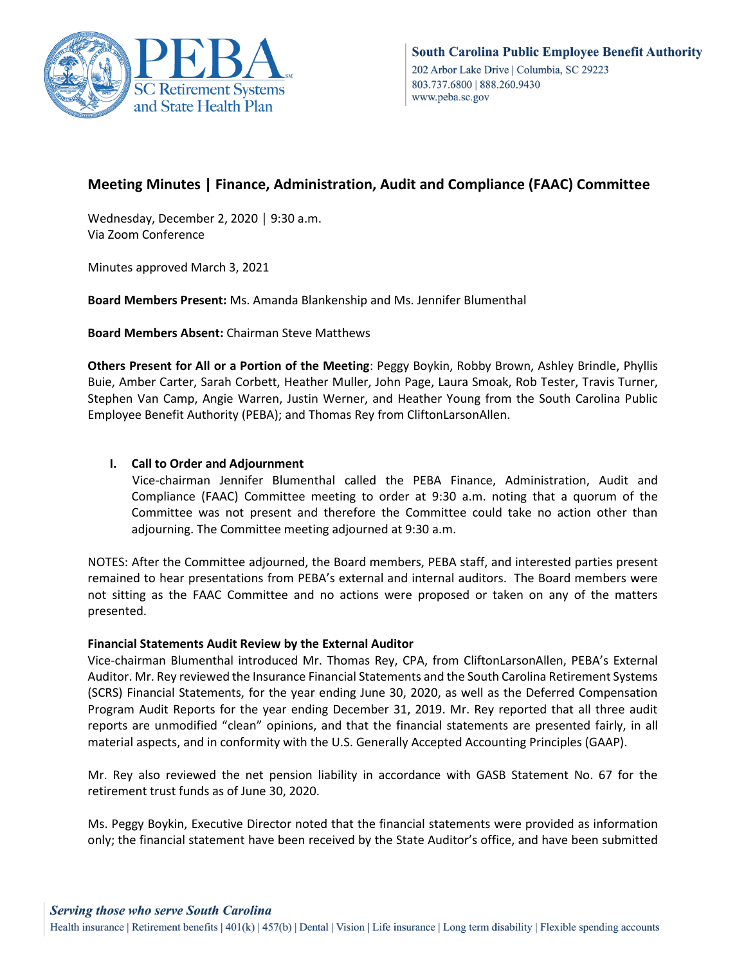

## **Meeting Minutes | Finance, Administration, Audit and Compliance (FAAC) Committee**

Wednesday, December 2, 2020 │ 9:30 a.m. Via Zoom Conference

Minutes approved March 3, 2021

**Board Members Present:** Ms. Amanda Blankenship and Ms. Jennifer Blumenthal

**Board Members Absent:** Chairman Steve Matthews

**Others Present for All or a Portion of the Meeting**: Peggy Boykin, Robby Brown, Ashley Brindle, Phyllis Buie, Amber Carter, Sarah Corbett, Heather Muller, John Page, Laura Smoak, Rob Tester, Travis Turner, Stephen Van Camp, Angie Warren, Justin Werner, and Heather Young from the South Carolina Public Employee Benefit Authority (PEBA); and Thomas Rey from CliftonLarsonAllen.

## **I. Call to Order and Adjournment**

 Vice-chairman Jennifer Blumenthal called the PEBA Finance, Administration, Audit and Compliance (FAAC) Committee meeting to order at 9:30 a.m. noting that a quorum of the Committee was not present and therefore the Committee could take no action other than adjourning. The Committee meeting adjourned at 9:30 a.m.

NOTES: After the Committee adjourned, the Board members, PEBA staff, and interested parties present remained to hear presentations from PEBA's external and internal auditors. The Board members were not sitting as the FAAC Committee and no actions were proposed or taken on any of the matters presented.

## **Financial Statements Audit Review by the External Auditor**

Vice-chairman Blumenthal introduced Mr. Thomas Rey, CPA, from CliftonLarsonAllen, PEBA's External Auditor. Mr. Rey reviewed the Insurance Financial Statements and the South Carolina Retirement Systems (SCRS) Financial Statements, for the year ending June 30, 2020, as well as the Deferred Compensation Program Audit Reports for the year ending December 31, 2019. Mr. Rey reported that all three audit reports are unmodified "clean" opinions, and that the financial statements are presented fairly, in all material aspects, and in conformity with the U.S. Generally Accepted Accounting Principles (GAAP).

Mr. Rey also reviewed the net pension liability in accordance with GASB Statement No. 67 for the retirement trust funds as of June 30, 2020.

Ms. Peggy Boykin, Executive Director noted that the financial statements were provided as information only; the financial statement have been received by the State Auditor's office, and have been submitted